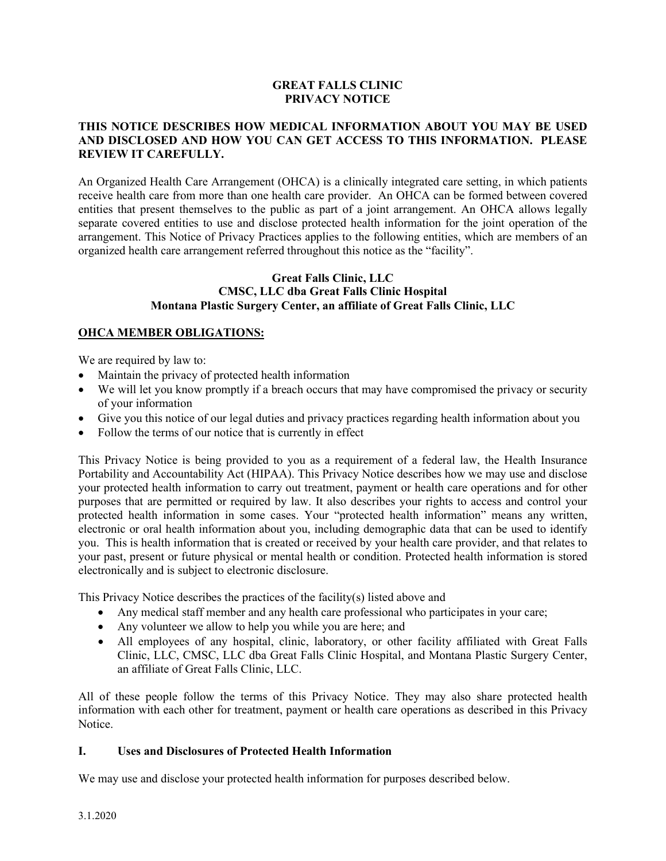#### **GREAT FALLS CLINIC PRIVACY NOTICE**

#### **THIS NOTICE DESCRIBES HOW MEDICAL INFORMATION ABOUT YOU MAY BE USED AND DISCLOSED AND HOW YOU CAN GET ACCESS TO THIS INFORMATION. PLEASE REVIEW IT CAREFULLY.**

An Organized Health Care Arrangement (OHCA) is a clinically integrated care setting, in which patients receive health care from more than one health care provider. An OHCA can be formed between covered entities that present themselves to the public as part of a joint arrangement. An OHCA allows legally separate covered entities to use and disclose protected health information for the joint operation of the arrangement. This Notice of Privacy Practices applies to the following entities, which are members of an organized health care arrangement referred throughout this notice as the "facility".

#### **Great Falls Clinic, LLC CMSC, LLC dba Great Falls Clinic Hospital Montana Plastic Surgery Center, an affiliate of Great Falls Clinic, LLC**

### **OHCA MEMBER OBLIGATIONS:**

We are required by law to:

- Maintain the privacy of protected health information
- We will let you know promptly if a breach occurs that may have compromised the privacy or security of your information
- Give you this notice of our legal duties and privacy practices regarding health information about you
- Follow the terms of our notice that is currently in effect

This Privacy Notice is being provided to you as a requirement of a federal law, the Health Insurance Portability and Accountability Act (HIPAA). This Privacy Notice describes how we may use and disclose your protected health information to carry out treatment, payment or health care operations and for other purposes that are permitted or required by law. It also describes your rights to access and control your protected health information in some cases. Your "protected health information" means any written, electronic or oral health information about you, including demographic data that can be used to identify you. This is health information that is created or received by your health care provider, and that relates to your past, present or future physical or mental health or condition. Protected health information is stored electronically and is subject to electronic disclosure.

This Privacy Notice describes the practices of the facility(s) listed above and

- Any medical staff member and any health care professional who participates in your care;
- Any volunteer we allow to help you while you are here; and
- All employees of any hospital, clinic, laboratory, or other facility affiliated with Great Falls Clinic, LLC, CMSC, LLC dba Great Falls Clinic Hospital, and Montana Plastic Surgery Center, an affiliate of Great Falls Clinic, LLC.

All of these people follow the terms of this Privacy Notice. They may also share protected health information with each other for treatment, payment or health care operations as described in this Privacy Notice.

#### **I. Uses and Disclosures of Protected Health Information**

We may use and disclose your protected health information for purposes described below.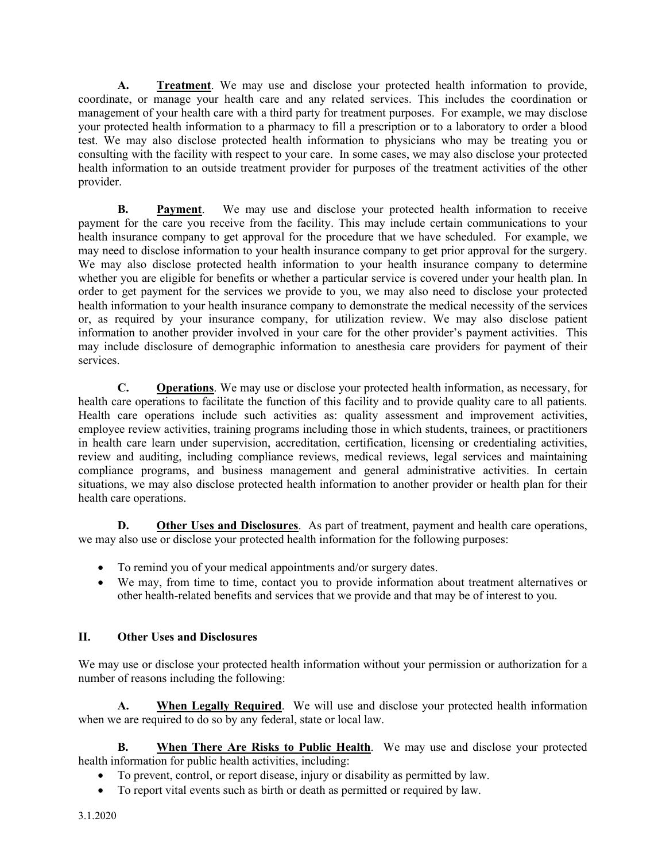**A. Treatment**. We may use and disclose your protected health information to provide, coordinate, or manage your health care and any related services. This includes the coordination or management of your health care with a third party for treatment purposes. For example, we may disclose your protected health information to a pharmacy to fill a prescription or to a laboratory to order a blood test. We may also disclose protected health information to physicians who may be treating you or consulting with the facility with respect to your care. In some cases, we may also disclose your protected health information to an outside treatment provider for purposes of the treatment activities of the other provider.

**B. Payment**. We may use and disclose your protected health information to receive payment for the care you receive from the facility. This may include certain communications to your health insurance company to get approval for the procedure that we have scheduled. For example, we may need to disclose information to your health insurance company to get prior approval for the surgery. We may also disclose protected health information to your health insurance company to determine whether you are eligible for benefits or whether a particular service is covered under your health plan. In order to get payment for the services we provide to you, we may also need to disclose your protected health information to your health insurance company to demonstrate the medical necessity of the services or, as required by your insurance company, for utilization review. We may also disclose patient information to another provider involved in your care for the other provider's payment activities. This may include disclosure of demographic information to anesthesia care providers for payment of their services.

**C. Operations**. We may use or disclose your protected health information, as necessary, for health care operations to facilitate the function of this facility and to provide quality care to all patients. Health care operations include such activities as: quality assessment and improvement activities, employee review activities, training programs including those in which students, trainees, or practitioners in health care learn under supervision, accreditation, certification, licensing or credentialing activities, review and auditing, including compliance reviews, medical reviews, legal services and maintaining compliance programs, and business management and general administrative activities. In certain situations, we may also disclose protected health information to another provider or health plan for their health care operations.

**D. Other Uses and Disclosures**.As part of treatment, payment and health care operations, we may also use or disclose your protected health information for the following purposes:

- To remind you of your medical appointments and/or surgery dates.
- We may, from time to time, contact you to provide information about treatment alternatives or other health-related benefits and services that we provide and that may be of interest to you.

# **II. Other Uses and Disclosures**

We may use or disclose your protected health information without your permission or authorization for a number of reasons including the following:

**A. When Legally Required**. We will use and disclose your protected health information when we are required to do so by any federal, state or local law.

**B. When There Are Risks to Public Health**. We may use and disclose your protected health information for public health activities, including:

- To prevent, control, or report disease, injury or disability as permitted by law.
- To report vital events such as birth or death as permitted or required by law.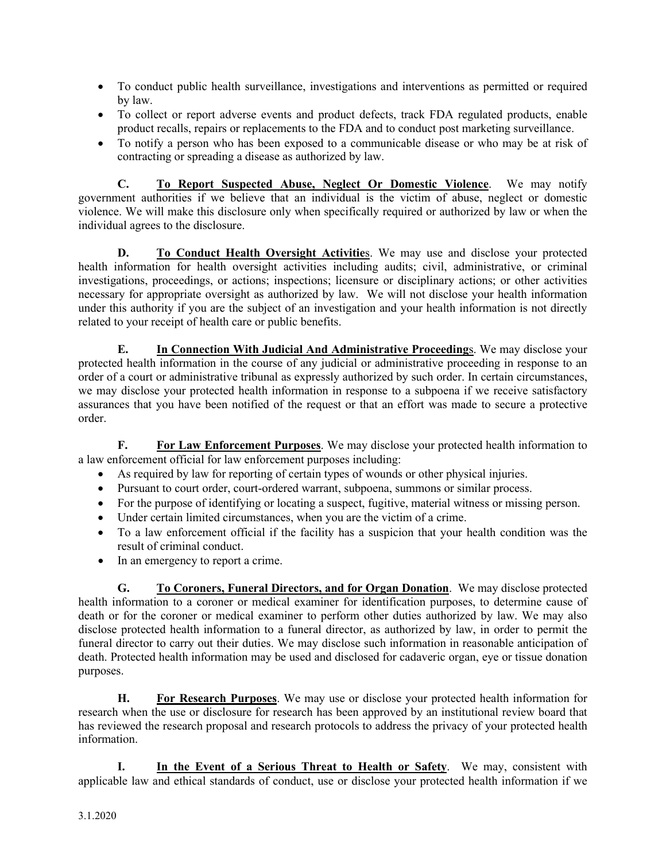- To conduct public health surveillance, investigations and interventions as permitted or required by law.
- To collect or report adverse events and product defects, track FDA regulated products, enable product recalls, repairs or replacements to the FDA and to conduct post marketing surveillance.
- To notify a person who has been exposed to a communicable disease or who may be at risk of contracting or spreading a disease as authorized by law.

**C. To Report Suspected Abuse, Neglect Or Domestic Violence**. We may notify government authorities if we believe that an individual is the victim of abuse, neglect or domestic violence. We will make this disclosure only when specifically required or authorized by law or when the individual agrees to the disclosure.

**D. To Conduct Health Oversight Activitie**s. We may use and disclose your protected health information for health oversight activities including audits; civil, administrative, or criminal investigations, proceedings, or actions; inspections; licensure or disciplinary actions; or other activities necessary for appropriate oversight as authorized by law. We will not disclose your health information under this authority if you are the subject of an investigation and your health information is not directly related to your receipt of health care or public benefits.

**E. In Connection With Judicial And Administrative Proceeding**s. We may disclose your protected health information in the course of any judicial or administrative proceeding in response to an order of a court or administrative tribunal as expressly authorized by such order. In certain circumstances, we may disclose your protected health information in response to a subpoena if we receive satisfactory assurances that you have been notified of the request or that an effort was made to secure a protective order.

**F. For Law Enforcement Purposes**. We may disclose your protected health information to a law enforcement official for law enforcement purposes including:

- As required by law for reporting of certain types of wounds or other physical injuries.
- Pursuant to court order, court-ordered warrant, subpoena, summons or similar process.
- For the purpose of identifying or locating a suspect, fugitive, material witness or missing person.
- Under certain limited circumstances, when you are the victim of a crime.
- To a law enforcement official if the facility has a suspicion that your health condition was the result of criminal conduct.
- In an emergency to report a crime.

**G. To Coroners, Funeral Directors, and for Organ Donation**. We may disclose protected health information to a coroner or medical examiner for identification purposes, to determine cause of death or for the coroner or medical examiner to perform other duties authorized by law. We may also disclose protected health information to a funeral director, as authorized by law, in order to permit the funeral director to carry out their duties. We may disclose such information in reasonable anticipation of death. Protected health information may be used and disclosed for cadaveric organ, eye or tissue donation purposes.

**H. For Research Purposes**. We may use or disclose your protected health information for research when the use or disclosure for research has been approved by an institutional review board that has reviewed the research proposal and research protocols to address the privacy of your protected health information.

**I. In the Event of a Serious Threat to Health or Safety**. We may, consistent with applicable law and ethical standards of conduct, use or disclose your protected health information if we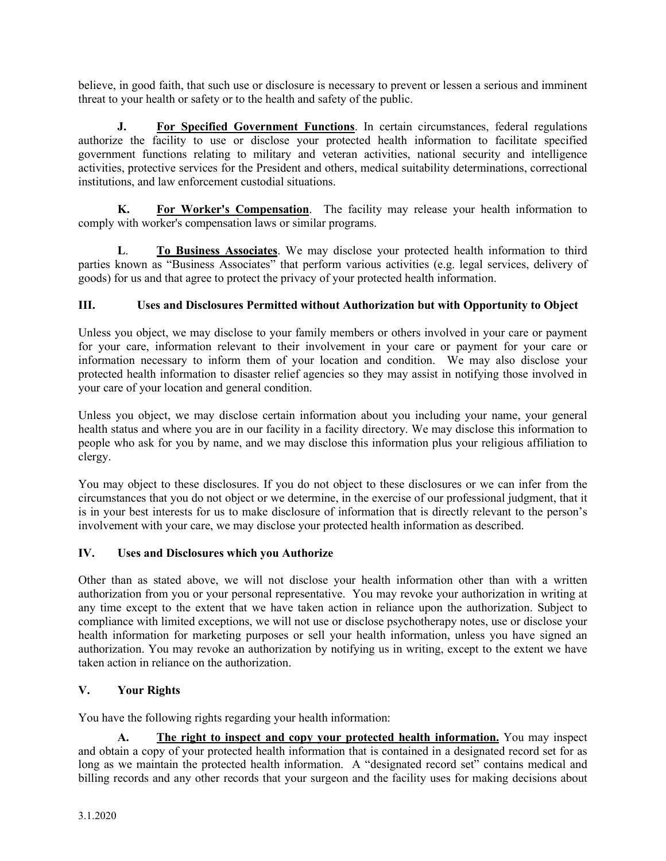believe, in good faith, that such use or disclosure is necessary to prevent or lessen a serious and imminent threat to your health or safety or to the health and safety of the public.

**J. For Specified Government Functions**. In certain circumstances, federal regulations authorize the facility to use or disclose your protected health information to facilitate specified government functions relating to military and veteran activities, national security and intelligence activities, protective services for the President and others, medical suitability determinations, correctional institutions, and law enforcement custodial situations.

**K. For Worker's Compensation**. The facility may release your health information to comply with worker's compensation laws or similar programs.

**L**. **To Business Associates**. We may disclose your protected health information to third parties known as "Business Associates" that perform various activities (e.g. legal services, delivery of goods) for us and that agree to protect the privacy of your protected health information.

## **III. Uses and Disclosures Permitted without Authorization but with Opportunity to Object**

Unless you object, we may disclose to your family members or others involved in your care or payment for your care, information relevant to their involvement in your care or payment for your care or information necessary to inform them of your location and condition. We may also disclose your protected health information to disaster relief agencies so they may assist in notifying those involved in your care of your location and general condition.

Unless you object, we may disclose certain information about you including your name, your general health status and where you are in our facility in a facility directory. We may disclose this information to people who ask for you by name, and we may disclose this information plus your religious affiliation to clergy.

You may object to these disclosures. If you do not object to these disclosures or we can infer from the circumstances that you do not object or we determine, in the exercise of our professional judgment, that it is in your best interests for us to make disclosure of information that is directly relevant to the person's involvement with your care, we may disclose your protected health information as described.

## **IV. Uses and Disclosures which you Authorize**

Other than as stated above, we will not disclose your health information other than with a written authorization from you or your personal representative. You may revoke your authorization in writing at any time except to the extent that we have taken action in reliance upon the authorization. Subject to compliance with limited exceptions, we will not use or disclose psychotherapy notes, use or disclose your health information for marketing purposes or sell your health information, unless you have signed an authorization. You may revoke an authorization by notifying us in writing, except to the extent we have taken action in reliance on the authorization.

# **V. Your Rights**

You have the following rights regarding your health information:

**A. The right to inspect and copy your protected health information.** You may inspect and obtain a copy of your protected health information that is contained in a designated record set for as long as we maintain the protected health information. A "designated record set" contains medical and billing records and any other records that your surgeon and the facility uses for making decisions about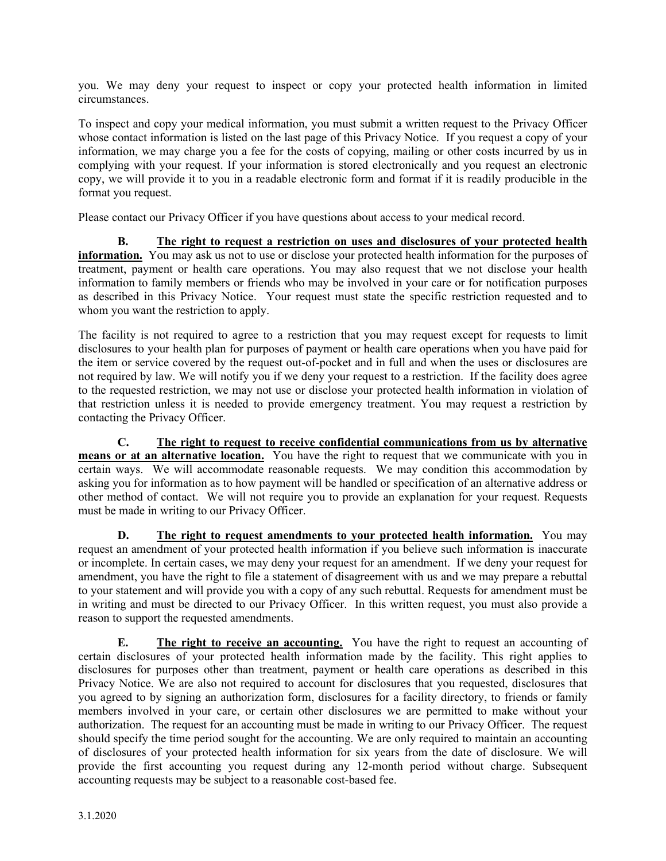you. We may deny your request to inspect or copy your protected health information in limited circumstances.

To inspect and copy your medical information, you must submit a written request to the Privacy Officer whose contact information is listed on the last page of this Privacy Notice. If you request a copy of your information, we may charge you a fee for the costs of copying, mailing or other costs incurred by us in complying with your request. If your information is stored electronically and you request an electronic copy, we will provide it to you in a readable electronic form and format if it is readily producible in the format you request.

Please contact our Privacy Officer if you have questions about access to your medical record.

**B. The right to request a restriction on uses and disclosures of your protected health information.** You may ask us not to use or disclose your protected health information for the purposes of treatment, payment or health care operations. You may also request that we not disclose your health information to family members or friends who may be involved in your care or for notification purposes as described in this Privacy Notice. Your request must state the specific restriction requested and to whom you want the restriction to apply.

The facility is not required to agree to a restriction that you may request except for requests to limit disclosures to your health plan for purposes of payment or health care operations when you have paid for the item or service covered by the request out-of-pocket and in full and when the uses or disclosures are not required by law. We will notify you if we deny your request to a restriction. If the facility does agree to the requested restriction, we may not use or disclose your protected health information in violation of that restriction unless it is needed to provide emergency treatment. You may request a restriction by contacting the Privacy Officer.

**C. The right to request to receive confidential communications from us by alternative means or at an alternative location.** You have the right to request that we communicate with you in certain ways. We will accommodate reasonable requests. We may condition this accommodation by asking you for information as to how payment will be handled or specification of an alternative address or other method of contact. We will not require you to provide an explanation for your request. Requests must be made in writing to our Privacy Officer.

**D. The right to request amendments to your protected health information.** You may request an amendment of your protected health information if you believe such information is inaccurate or incomplete. In certain cases, we may deny your request for an amendment. If we deny your request for amendment, you have the right to file a statement of disagreement with us and we may prepare a rebuttal to your statement and will provide you with a copy of any such rebuttal. Requests for amendment must be in writing and must be directed to our Privacy Officer. In this written request, you must also provide a reason to support the requested amendments.

**E.** The right to receive an accounting. You have the right to request an accounting of certain disclosures of your protected health information made by the facility. This right applies to disclosures for purposes other than treatment, payment or health care operations as described in this Privacy Notice. We are also not required to account for disclosures that you requested, disclosures that you agreed to by signing an authorization form, disclosures for a facility directory, to friends or family members involved in your care, or certain other disclosures we are permitted to make without your authorization. The request for an accounting must be made in writing to our Privacy Officer. The request should specify the time period sought for the accounting. We are only required to maintain an accounting of disclosures of your protected health information for six years from the date of disclosure. We will provide the first accounting you request during any 12-month period without charge. Subsequent accounting requests may be subject to a reasonable cost-based fee.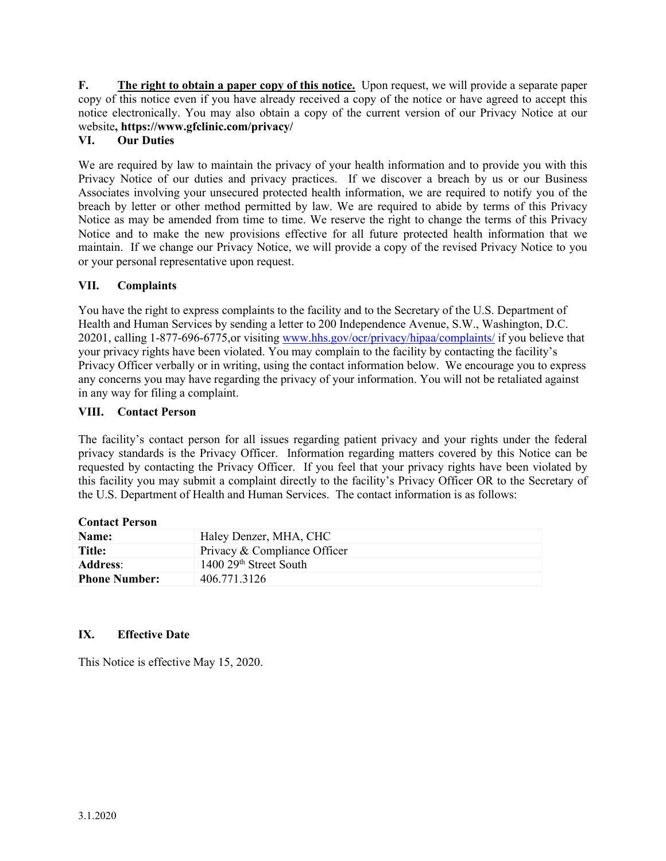**F. The right to obtain a paper copy of this notice.** Upon request, we will provide a separate paper copy of this notice even if you have already received a copy of the notice or have agreed to accept this notice electronically. You may also obtain a copy of the current version of our Privacy Notice at our website**, https://www.gfclinic.com/privacy/**

# **VI. Our Duties**

We are required by law to maintain the privacy of your health information and to provide you with this Privacy Notice of our duties and privacy practices. If we discover a breach by us or our Business Associates involving your unsecured protected health information, we are required to notify you of the breach by letter or other method permitted by law. We are required to abide by terms of this Privacy Notice as may be amended from time to time. We reserve the right to change the terms of this Privacy Notice and to make the new provisions effective for all future protected health information that we maintain. If we change our Privacy Notice, we will provide a copy of the revised Privacy Notice to you or your personal representative upon request.

## **VII. Complaints**

You have the right to express complaints to the facility and to the Secretary of the U.S. Department of Health and Human Services by sending a letter to 200 Independence Avenue, S.W., Washington, D.C. 20201, calling 1-877-696-6775,or visitin[g www.hhs.gov/ocr/privacy/hipaa/complaints/](http://www.hhs.gov/ocr/privacy/hipaa/complaints/) if you believe that your privacy rights have been violated. You may complain to the facility by contacting the facility's Privacy Officer verbally or in writing, using the contact information below. We encourage you to express any concerns you may have regarding the privacy of your information. You will not be retaliated against in any way for filing a complaint.

### **VIII. Contact Person**

The facility's contact person for all issues regarding patient privacy and your rights under the federal privacy standards is the Privacy Officer. Information regarding matters covered by this Notice can be requested by contacting the Privacy Officer. If you feel that your privacy rights have been violated by this facility you may submit a complaint directly to the facility's Privacy Officer OR to the Secretary of the U.S. Department of Health and Human Services. The contact information is as follows:

| Name:                | Haley Denzer, MHA, CHC             |
|----------------------|------------------------------------|
| Title:               | Privacy & Compliance Officer       |
| <b>Address:</b>      | 1400 29 <sup>th</sup> Street South |
| <b>Phone Number:</b> | 406.771.3126                       |

## **IX. Effective Date**

This Notice is effective May 15, 2020.